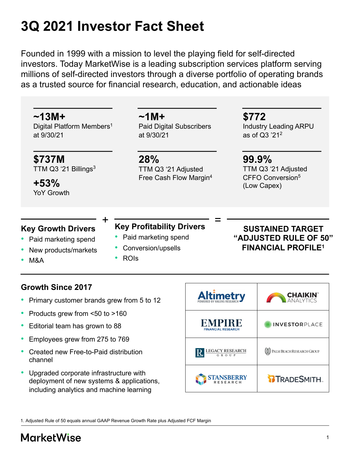# **3Q 2021 Investor Fact Sheet**

Founded in 1999 with a mission to level the playing field for self-directed investors. Today MarketWise is a leading subscription services platform serving millions of self-directed investors through a diverse portfolio of operating brands as a trusted source for financial research, education, and actionable ideas

**~13M+** Digital Platform Members<sup>1</sup> at 9/30/21

**\$737M** TTM Q3 $^{\prime}$ 21 Billings<sup>3</sup>

YoY Growth

## **~1M+** Paid Digital Subscribers at 9/30/21

**28%** TTM Q3 '21 Adjusted Free Cash Flow Margin4

## **\$772**

Industry Leading ARPU as of Q3 '212

**99.9%** TTM Q3 '21 Adjusted CFFO Conversion5 **+53%** (Low Capex)

## **Key Growth Drivers**

- Paid marketing spend
- New products/markets
- M&A

#### **Key Profitability Drivers**  $+$   $=$   $\frac{1}{2}$   $\frac{1}{2}$   $\frac{1}{2}$   $\frac{1}{2}$   $\frac{1}{2}$   $\frac{1}{2}$   $\frac{1}{2}$   $\frac{1}{2}$   $\frac{1}{2}$   $\frac{1}{2}$   $\frac{1}{2}$   $\frac{1}{2}$   $\frac{1}{2}$   $\frac{1}{2}$   $\frac{1}{2}$   $\frac{1}{2}$   $\frac{1}{2}$   $\frac{1}{2}$   $\frac{1}{2}$   $\frac{1}{2}$   $\frac{1}{2}$   $\frac$

- Paid marketing spend
- Conversion/upsells
- ROIs

## **SUSTAINED TARGET "ADJUSTED RULE OF 50" FINANCIAL PROFILE1**

## **Growth Since 2017**

- Primary customer brands grew from 5 to 12
- Products grew from <50 to >160
- Editorial team has grown to 88
- Employees grew from 275 to 769
- Created new Free-to-Paid distribution channel
- Upgraded corporate infrastructure with deployment of new systems & applications, including analytics and machine learning



1. Adjusted Rule of 50 equals annual GAAP Revenue Growth Rate plus Adjusted FCF Margin

## **MarketWise**